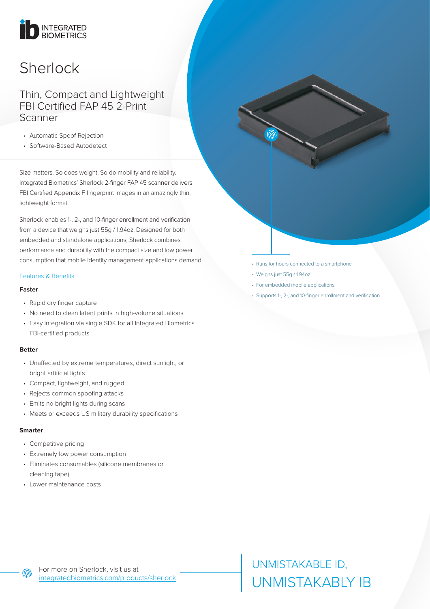# INTEGRATED

# **Sherlock**

### Thin, Compact and Lightweight FBI Certified FAP 45 2-Print Scanner

- Automatic Spoof Rejection
- Software-Based Autodetect

Size matters. So does weight. So do mobility and reliability. Integrated Biometrics' Sherlock 2-finger FAP 45 scanner delivers FBI Certified Appendix F fingerprint images in an amazingly thin, lightweight format.

Sherlock enables 1-, 2-, and 10-finger enrollment and verification from a device that weighs just 55g / 1.94oz. Designed for both embedded and standalone applications, Sherlock combines performance and durability with the compact size and low power consumption that mobile identity management applications demand.

#### Features & Benefits

#### **Faster**

- Rapid dry finger capture
- No need to clean latent prints in high-volume situations
- Easy integration via single SDK for all Integrated Biometrics FBI-certified products

#### **Better**

- Unaffected by extreme temperatures, direct sunlight, or bright artificial lights
- Compact, lightweight, and rugged
- Rejects common spoofing attacks
- Emits no bright lights during scans
- Meets or exceeds US military durability specifications

#### **Smarter**

൫

- Competitive pricing
- Extremely low power consumption
- Eliminates consumables (silicone membranes or cleaning tape)
- Lower maintenance costs
- Runs for hours connected to a smartphone
- Weighs just 55g / 1.94oz
- For embedded mobile applications
- Supports 1-, 2-, and 10-finger enrollment and verification

UNMISTAKABLE ID, UNMISTAKABLY IB